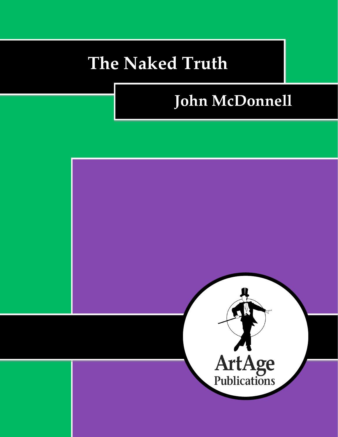# **The Naked Truth**

# **John McDonnell**

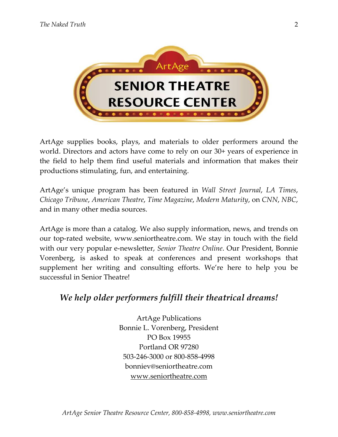

ArtAge supplies books, plays, and materials to older performers around the world. Directors and actors have come to rely on our 30+ years of experience in the field to help them find useful materials and information that makes their productions stimulating, fun, and entertaining.

ArtAge's unique program has been featured in *Wall Street Journal*, *LA Times*, *Chicago Tribune*, *American Theatre*, *Time Magazine*, *Modern Maturity*, on *CNN*, *NBC*, and in many other media sources.

ArtAge is more than a catalog. We also supply information, news, and trends on our top-rated website, www.seniortheatre.com. We stay in touch with the field with our very popular e-newsletter, *Senior Theatre Online*. Our President, Bonnie Vorenberg, is asked to speak at conferences and present workshops that supplement her writing and consulting efforts. We're here to help you be successful in Senior Theatre!

## *We help older performers fulfill their theatrical dreams!*

ArtAge Publications Bonnie L. Vorenberg, President PO Box 19955 Portland OR 97280 503-246-3000 or 800-858-4998 bonniev@seniortheatre.com www.seniortheatre.com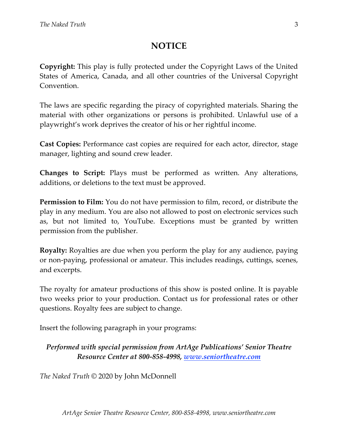### **NOTICE**

**Copyright:** This play is fully protected under the Copyright Laws of the United States of America, Canada, and all other countries of the Universal Copyright Convention.

The laws are specific regarding the piracy of copyrighted materials. Sharing the material with other organizations or persons is prohibited. Unlawful use of a playwright's work deprives the creator of his or her rightful income.

**Cast Copies:** Performance cast copies are required for each actor, director, stage manager, lighting and sound crew leader.

**Changes to Script:** Plays must be performed as written. Any alterations, additions, or deletions to the text must be approved.

**Permission to Film:** You do not have permission to film, record, or distribute the play in any medium. You are also not allowed to post on electronic services such as, but not limited to, YouTube. Exceptions must be granted by written permission from the publisher.

**Royalty:** Royalties are due when you perform the play for any audience, paying or non-paying, professional or amateur. This includes readings, cuttings, scenes, and excerpts.

The royalty for amateur productions of this show is posted online. It is payable two weeks prior to your production. Contact us for professional rates or other questions. Royalty fees are subject to change.

Insert the following paragraph in your programs:

### *Performed with special permission from ArtAge Publications' Senior Theatre Resource Center at 800-858-4998, www.seniortheatre.com*

*The Naked Truth* © 2020 by John McDonnell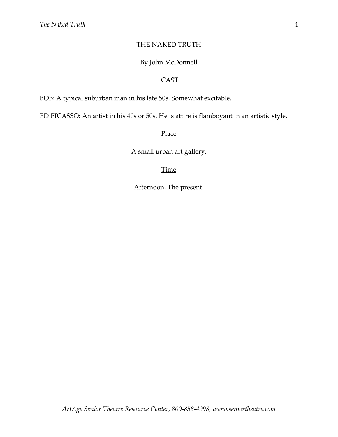#### THE NAKED TRUTH

#### By John McDonnell

#### CAST

BOB: A typical suburban man in his late 50s. Somewhat excitable.

ED PICASSO: An artist in his 40s or 50s. He is attire is flamboyant in an artistic style.

#### Place

A small urban art gallery.

#### **Time**

Afternoon. The present.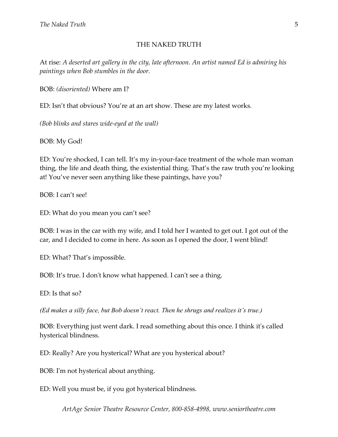#### THE NAKED TRUTH

At rise: *A deserted art gallery in the city, late afternoon. An artist named Ed is admiring his paintings when Bob stumbles in the door.*

BOB: *(disoriented)* Where am I?

ED: Isn't that obvious? You're at an art show. These are my latest works.

*(Bob blinks and stares wide-eyed at the wall)*

BOB: My God!

ED: You're shocked, I can tell. It's my in-your-face treatment of the whole man woman thing, the life and death thing, the existential thing. That's the raw truth you're looking at! You've never seen anything like these paintings, have you?

BOB: I can't see!

ED: What do you mean you can't see?

BOB: I was in the car with my wife, and I told her I wanted to get out. I got out of the car, and I decided to come in here. As soon as I opened the door, I went blind!

ED: What? That's impossible.

BOB: It's true. I don't know what happened. I can't see a thing.

ED: Is that so?

*(Ed makes a silly face, but Bob doesn't react. Then he shrugs and realizes it's true.)*

BOB: Everything just went dark. I read something about this once. I think it's called hysterical blindness.

ED: Really? Are you hysterical? What are you hysterical about?

BOB: I'm not hysterical about anything.

ED: Well you must be, if you got hysterical blindness.

*ArtAge Senior Theatre Resource Center, 800-858-4998, www.seniortheatre.com*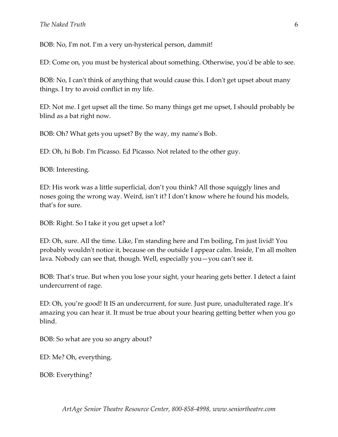#### *The Naked Truth*

BOB: No, I'm not. I'm a very un-hysterical person, dammit!

ED: Come on, you must be hysterical about something. Otherwise, you'd be able to see.

BOB: No, I can't think of anything that would cause this. I don't get upset about many things. I try to avoid conflict in my life.

ED: Not me. I get upset all the time. So many things get me upset, I should probably be blind as a bat right now.

BOB: Oh? What gets you upset? By the way, my name's Bob.

ED: Oh, hi Bob. I'm Picasso. Ed Picasso. Not related to the other guy.

BOB: Interesting.

ED: His work was a little superficial, don't you think? All those squiggly lines and noses going the wrong way. Weird, isn't it? I don't know where he found his models, that's for sure.

BOB: Right. So I take it you get upset a lot?

ED: Oh, sure. All the time. Like, I'm standing here and I'm boiling, I'm just livid! You probably wouldn't notice it, because on the outside I appear calm. Inside, I'm all molten lava. Nobody can see that, though. Well, especially you—you can't see it.

BOB: That's true. But when you lose your sight, your hearing gets better. I detect a faint undercurrent of rage.

ED: Oh, you're good! It IS an undercurrent, for sure. Just pure, unadulterated rage. It's amazing you can hear it. It must be true about your hearing getting better when you go blind.

BOB: So what are you so angry about?

ED: Me? Oh, everything.

BOB: Everything?

*ArtAge Senior Theatre Resource Center, 800-858-4998, www.seniortheatre.com*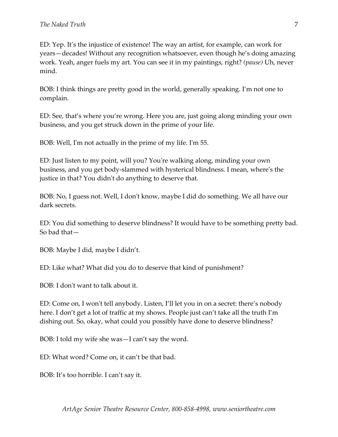ED: Yep. It's the injustice of existence! The way an artist, for example, can work for years—decades! Without any recognition whatsoever, even though he's doing amazing work. Yeah, anger fuels my art. You can see it in my paintings, right? *(pause)* Uh, never mind.

BOB: I think things are pretty good in the world, generally speaking. I'm not one to complain.

ED: See, that's where you're wrong. Here you are, just going along minding your own business, and you get struck down in the prime of your life.

BOB: Well, I'm not actually in the prime of my life. I'm 55.

ED: Just listen to my point, will you? You're walking along, minding your own business, and you get body-slammed with hysterical blindness. I mean, where's the justice in that? You didn't do anything to deserve that.

BOB: No, I guess not. Well, I don't know, maybe I did do something. We all have our dark secrets.

ED: You did something to deserve blindness? It would have to be something pretty bad. So bad that—

BOB: Maybe I did, maybe I didn't.

ED: Like what? What did you do to deserve that kind of punishment?

BOB: I don't want to talk about it.

ED: Come on, I won't tell anybody. Listen, I'll let you in on a secret: there's nobody here. I don't get a lot of traffic at my shows. People just can't take all the truth I'm dishing out. So, okay, what could you possibly have done to deserve blindness?

BOB: I told my wife she was—I can't say the word.

ED: What word? Come on, it can't be that bad.

BOB: It's too horrible. I can't say it.

7

*ArtAge Senior Theatre Resource Center, 800-858-4998, www.seniortheatre.com*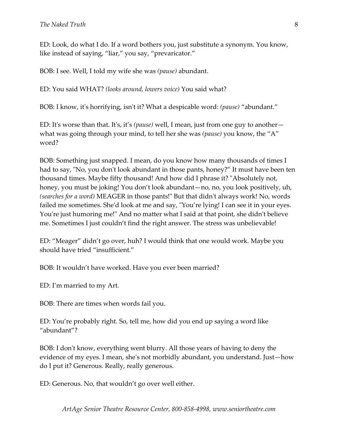ED: Look, do what I do. If a word bothers you, just substitute a synonym. You know, like instead of saying, "liar," you say, "prevaricator."

BOB: I see. Well, I told my wife she was *(pause)* abundant.

ED: You said WHAT? *(looks around, lowers voice)* You said what?

BOB: I know, it's horrifying, isn't it? What a despicable word: *(pause)* "abundant."

ED: It's worse than that. It's, it's *(pause)* well, I mean, just from one guy to another what was going through your mind, to tell her she was *(pause)* you know, the "A" word?

BOB: Something just snapped. I mean, do you know how many thousands of times I had to say, "No, you don't look abundant in those pants, honey?" It must have been ten thousand times. Maybe fifty thousand! And how did I phrase it? "Absolutely not, honey, you must be joking! You don't look abundant—no, no, you look positively, uh, *(searches for a word)* MEAGER in those pants!" But that didn't always work! No, words failed me sometimes. She'd look at me and say, "You're lying! I can see it in your eyes. You're just humoring me!" And no matter what I said at that point, she didn't believe me. Sometimes I just couldn't find the right answer. The stress was unbelievable!

ED: "Meager" didn't go over, huh? I would think that one would work. Maybe you should have tried "insufficient."

BOB: It wouldn't have worked. Have you ever been married?

ED: I'm married to my Art.

BOB: There are times when words fail you.

ED: You're probably right. So, tell me, how did you end up saying a word like "abundant"?

BOB: I don't know, everything went blurry. All those years of having to deny the evidence of my eyes. I mean, she's not morbidly abundant, you understand. Just—how do I put it? Generous. Really, really generous.

ED: Generous. No, that wouldn't go over well either.